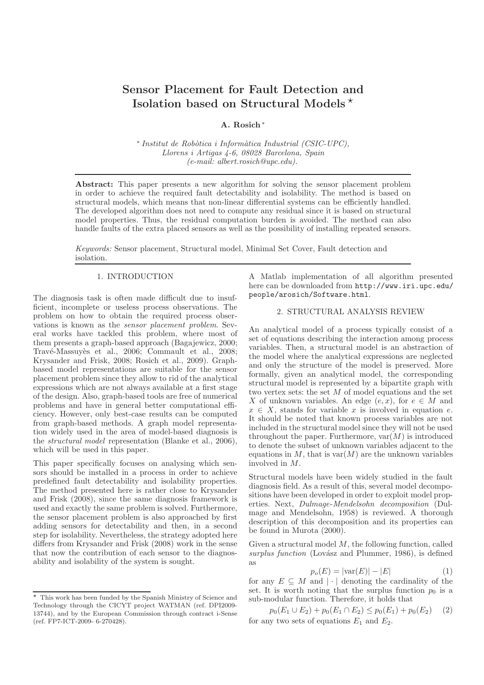# Sensor Placement for Fault Detection and Isolation based on Structural Models  $\star$

## A. Rosich<sup>∗</sup>

∗ *Institut de Rob`otica i Inform`atica Industrial (CSIC-UPC), Llorens i Artigas 4-6, 08028 Barcelona, Spain (e-mail: albert.rosich@upc.edu).*

Abstract: This paper presents a new algorithm for solving the sensor placement problem in order to achieve the required fault detectability and isolability. The method is based on structural models, which means that non-linear differential systems can be efficiently handled. The developed algorithm does not need to compute any residual since it is based on structural model properties. Thus, the residual computation burden is avoided. The method can also handle faults of the extra placed sensors as well as the possibility of installing repeated sensors.

*Keywords:* Sensor placement, Structural model, Minimal Set Cover, Fault detection and isolation.

## 1. INTRODUCTION

The diagnosis task is often made difficult due to insufficient, incomplete or useless process observations. The problem on how to obtain the required process observations is known as the *sensor placement problem*. Several works have tackled this problem, where most of them presents a graph-based approach (Bagajewicz, 2000; Travé-Massuyès et al., 2006; Commault et al., 2008; Krysander and Frisk, 2008; Rosich et al., 2009). Graphbased model representations are suitable for the sensor placement problem since they allow to rid of the analytical expressions which are not always available at a first stage of the design. Also, graph-based tools are free of numerical problems and have in general better computational efficiency. However, only best-case results can be computed from graph-based methods. A graph model representation widely used in the area of model-based diagnosis is the *structural model* representation (Blanke et al., 2006), which will be used in this paper.

This paper specifically focuses on analysing which sensors should be installed in a process in order to achieve predefined fault detectability and isolability properties. The method presented here is rather close to Krysander and Frisk (2008), since the same diagnosis framework is used and exactly the same problem is solved. Furthermore, the sensor placement problem is also approached by first adding sensors for detectability and then, in a second step for isolability. Nevertheless, the strategy adopted here differs from Krysander and Frisk (2008) work in the sense that now the contribution of each sensor to the diagnosability and isolability of the system is sought.

A Matlab implementation of all algorithm presented here can be downloaded from http://www.iri.upc.edu/ people/arosich/Software.html.

#### 2. STRUCTURAL ANALYSIS REVIEW

An analytical model of a process typically consist of a set of equations describing the interaction among process variables. Then, a structural model is an abstraction of the model where the analytical expressions are neglected and only the structure of the model is preserved. More formally, given an analytical model, the corresponding structural model is represented by a bipartite graph with two vertex sets: the set  $M$  of model equations and the set X of unknown variables. An edge  $(e, x)$ , for  $e \in M$  and  $x \in X$ , stands for variable x is involved in equation e. It should be noted that known process variables are not included in the structural model since they will not be used throughout the paper. Furthermore,  $var(M)$  is introduced to denote the subset of unknown variables adjacent to the equations in M, that is  $var(M)$  are the unknown variables involved in M.

Structural models have been widely studied in the fault diagnosis field. As a result of this, several model decompositions have been developed in order to exploit model properties. Next, *Dulmage*-*Mendelsohn decomposition* (Dulmage and Mendelsohn, 1958) is reviewed. A thorough description of this decomposition and its properties can be found in Murota (2000).

Given a structural model  $M$ , the following function, called surplus function (Lovász and Plummer, 1986), is defined as

$$
p_o(E) = |\text{var}(E)| - |E| \tag{1}
$$

for any  $E \subseteq M$  and  $|\cdot|$  denoting the cardinality of the set. It is worth noting that the surplus function  $p_0$  is a sub-modular function. Therefore, it holds that

 $p_0(E_1 \cup E_2) + p_0(E_1 \cap E_2) \leq p_0(E_1) + p_0(E_2)$  (2) for any two sets of equations  $E_1$  and  $E_2$ .

 $^\star\,$  This work has been funded by the Spanish Ministry of Science and Technology through the CICYT project WATMAN (ref. DPI2009- 13744), and by the European Commission through contract i-Sense (ref. FP7-ICT-2009- 6-270428).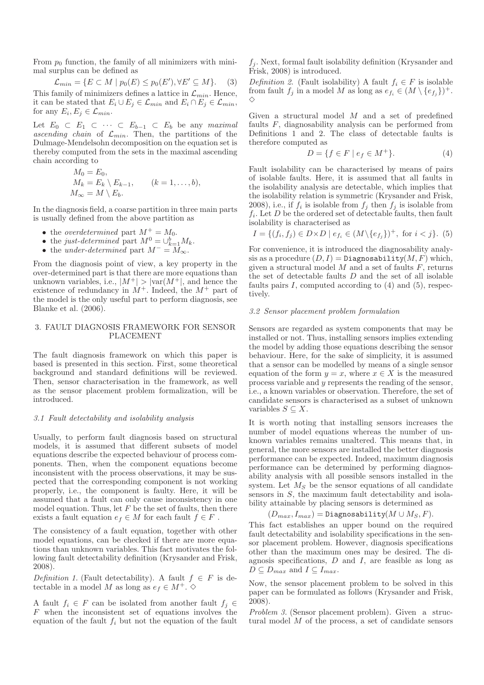From  $p_0$  function, the family of all minimizers with minimal surplus can be defined as

$$
\mathcal{L}_{min} = \{ E \subset M \mid p_0(E) \le p_0(E'), \forall E' \subseteq M \}. \tag{3}
$$

This family of minimizers defines a lattice in  $\mathcal{L}_{min}$ . Hence, it can be stated that  $E_i \cup E_j \in \mathcal{L}_{min}$  and  $E_i \cap E_j \in \mathcal{L}_{min}$ , for any  $E_i, E_j \in \mathcal{L}_{min}$ .

Let  $E_0 \subset E_1 \subset \cdots \subset E_{b-1} \subset E_b$  be any *maximal ascending chain* of  $\mathcal{L}_{min}$ . Then, the partitions of the Dulmage-Mendelsohn decomposition on the equation set is thereby computed from the sets in the maximal ascending chain according to

$$
M_0 = E_0,
$$
  
\n
$$
M_k = E_k \setminus E_{k-1}, \qquad (k = 1, \dots, b),
$$
  
\n
$$
M_{\infty} = M \setminus E_b.
$$

In the diagnosis field, a coarse partition in three main parts is usually defined from the above partition as

- the *overdetermined* part  $M^+ = M_0$ .
- the *just-determined* part  $M^0 = \bigcup_{k=1}^b M_k$ .
- the *under-determined* part  $M^{-} = M_{\infty}$ .

From the diagnosis point of view, a key property in the over-determined part is that there are more equations than unknown variables, i.e.,  $|M^+| > |var(M^+|,$  and hence the existence of redundancy in  $\dot{M}^+$ . Indeed, the  $M^+$  part of the model is the only useful part to perform diagnosis, see Blanke et al. (2006).

# 3. FAULT DIAGNOSIS FRAMEWORK FOR SENSOR PLACEMENT

The fault diagnosis framework on which this paper is based is presented in this section. First, some theoretical background and standard definitions will be reviewed. Then, sensor characterisation in the framework, as well as the sensor placement problem formalization, will be introduced.

### *3.1 Fault detectability and isolability analysis*

Usually, to perform fault diagnosis based on structural models, it is assumed that different subsets of model equations describe the expected behaviour of process components. Then, when the component equations become inconsistent with the process observations, it may be suspected that the corresponding component is not working properly, i.e., the component is faulty. Here, it will be assumed that a fault can only cause inconsistency in one model equation. Thus, let  $F$  be the set of faults, then there exists a fault equation  $e_f \in M$  for each fault  $f \in F$ .

The consistency of a fault equation, together with other model equations, can be checked if there are more equations than unknown variables. This fact motivates the following fault detectability definition (Krysander and Frisk, 2008).

*Definition 1.* (Fault detectability). A fault  $f \in F$  is detectable in a model M as long as  $e_f \in M^+$ .  $\diamond$ 

A fault  $f_i \in F$  can be isolated from another fault  $f_i \in F$ F when the inconsistent set of equations involves the equation of the fault  $f_i$  but not the equation of the fault  $f_j$ . Next, formal fault isolability definition (Krysander and Frisk, 2008) is introduced.

*Definition 2.* (Fault isolability) A fault  $f_i \in F$  is isolable from fault  $f_j$  in a model M as long as  $e_{f_i} \in (M \setminus \{e_{f_j}\})^+$ .  $\Diamond$ 

Given a structural model M and a set of predefined faults  $F$ , diagnosability analysis can be performed from Definitions 1 and 2. The class of detectable faults is therefore computed as

$$
D = \{ f \in F \mid e_f \in M^+ \}. \tag{4}
$$

Fault isolability can be characterised by means of pairs of isolable faults. Here, it is assumed that all faults in the isolability analysis are detectable, which implies that the isolability relation is symmetric (Krysander and Frisk, 2008), i.e., if  $f_i$  is isolable from  $f_j$  then  $f_j$  is isolable from  $f_i$ . Let  $D$  be the ordered set of detectable faults, then fault isolability is characterised as

$$
I = \{ (f_i, f_j) \in D \times D \mid e_{f_i} \in (M \setminus \{e_{f_j}\})^+, \text{ for } i < j \}. (5)
$$

For convenience, it is introduced the diagnosability analysis as a procedure  $(D, I) = \text{Diagnostility}(M, F)$  which, given a structural model  $M$  and a set of faults  $F$ , returns the set of detectable faults D and the set of all isolable faults pairs I, computed according to  $(4)$  and  $(5)$ , respectively.

#### *3.2 Sensor placement problem formulation*

Sensors are regarded as system components that may be installed or not. Thus, installing sensors implies extending the model by adding those equations describing the sensor behaviour. Here, for the sake of simplicity, it is assumed that a sensor can be modelled by means of a single sensor equation of the form  $y = x$ , where  $x \in X$  is the measured process variable and y represents the reading of the sensor, i.e., a known variables or observation. Therefore, the set of candidate sensors is characterised as a subset of unknown variables  $S \subseteq X$ .

It is worth noting that installing sensors increases the number of model equations whereas the number of unknown variables remains unaltered. This means that, in general, the more sensors are installed the better diagnosis performance can be expected. Indeed, maximum diagnosis performance can be determined by performing diagnosability analysis with all possible sensors installed in the system. Let  $M<sub>S</sub>$  be the sensor equations of all candidate sensors in S, the maximum fault detectability and isolability attainable by placing sensors is determined as

$$
(D_{max}, I_{max}) = \texttt{Diagnostality}(M \cup M_S, F).
$$

This fact establishes an upper bound on the required fault detectability and isolability specifications in the sensor placement problem. However, diagnosis specifications other than the maximum ones may be desired. The diagnosis specifications,  $D$  and  $I$ , are feasible as long as  $D \subseteq D_{max}$  and  $I \subseteq I_{max}$ .

Now, the sensor placement problem to be solved in this paper can be formulated as follows (Krysander and Frisk, 2008).

*Problem 3.* (Sensor placement problem). Given a structural model M of the process, a set of candidate sensors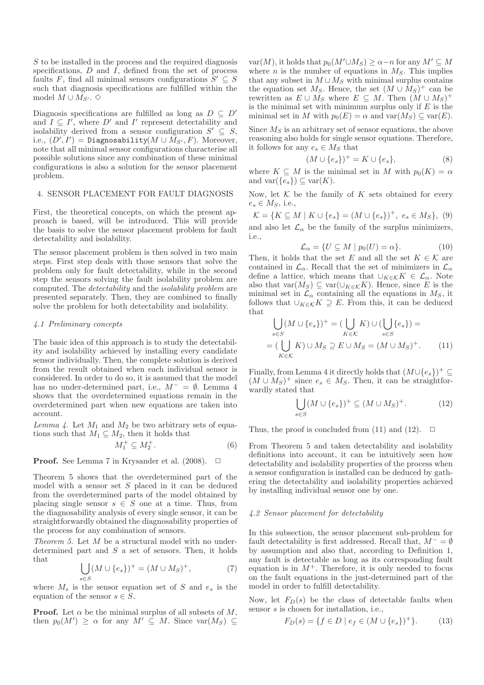S to be installed in the process and the required diagnosis specifications,  $D$  and  $I$ , defined from the set of process faults F, find all minimal sensors configurations  $S' \subseteq S$ such that diagnosis specifications are fulfilled within the model  $M \cup M_{S'}$ . ◇

Diagnosis specifications are fulfilled as long as  $D \subseteq D'$ and  $I \subseteq I'$ , where  $D'$  and  $I'$  represent detectability and isolability derived from a sensor configuration  $S' \subseteq S$ , i.e.,  $(D', I') = \text{Diagnostility}(M \cup \breve{M}_{S'}, F)$ . Moreover, note that all minimal sensor configurations characterise all possible solutions since any combination of these minimal configurations is also a solution for the sensor placement problem.

#### 4. SENSOR PLACEMENT FOR FAULT DIAGNOSIS

First, the theoretical concepts, on which the present approach is based, will be introduced. This will provide the basis to solve the sensor placement problem for fault detectability and isolability.

The sensor placement problem is then solved in two main steps. First step deals with those sensors that solve the problem only for fault detectability, while in the second step the sensors solving the fault isolability problem are computed. The *detectability* and the *isolability problem* are presented separately. Then, they are combined to finally solve the problem for both detectability and isolability.

#### *4.1 Preliminary concepts*

The basic idea of this approach is to study the detectability and isolability achieved by installing every candidate sensor individually. Then, the complete solution is derived from the result obtained when each individual sensor is considered. In order to do so, it is assumed that the model has no under-determined part, i.e.,  $M^- = \emptyset$ . Lemma 4 shows that the overdetermined equations remain in the overdetermined part when new equations are taken into account.

*Lemma 4.* Let  $M_1$  and  $M_2$  be two arbitrary sets of equations such that  $M_1 \subseteq M_2$ , then it holds that

$$
M_1^+ \subseteq M_2^+.\tag{6}
$$

**Proof.** See Lemma 7 in Krysander et al.  $(2008)$ .  $\Box$ 

Theorem 5 shows that the overdetermined part of the model with a sensor set S placed in it can be deduced from the overdetermined parts of the model obtained by placing single sensor  $s \in S$  one at a time. Thus, from the diagnosability analysis of every single sensor, it can be straightforwardly obtained the diagnosability properties of the process for any combination of sensors.

*Theorem 5.* Let M be a structural model with no underdetermined part and  $S$  a set of sensors. Then, it holds that

$$
\bigcup_{s \in S} (M \cup \{e_s\})^+ = (M \cup M_S)^+, \tag{7}
$$

where  $M_s$  is the sensor equation set of S and  $e_s$  is the equation of the sensor  $s \in S$ .

**Proof.** Let  $\alpha$  be the minimal surplus of all subsets of M, then  $p_0(M') \geq \alpha$  for any  $M' \subseteq M$ . Since  $var(M_S) \subseteq$  var(M), it holds that  $p_0(M' \cup M_S) \geq \alpha - n$  for any  $M' \subseteq M$ where *n* is the number of equations in  $M<sub>S</sub>$ . This implies that any subset in  $M \cup M_S$  with minimal surplus contains the equation set  $M_S$ . Hence, the set  $(M \cup \tilde{M}_S)^+$  can be rewritten as  $E \cup M_S$  where  $E \subseteq M$ . Then  $(M \cup M_S)^+$ is the minimal set with minimum surplus only if  $E$  is the minimal set in M with  $p_0(E) = \alpha$  and  $var(M_S) \subseteq var(E)$ .

Since  $M<sub>S</sub>$  is an arbitrary set of sensor equations, the above reasoning also holds for single sensor equations. Therefore, it follows for any  $e_s \in M_S$  that

$$
(M \cup \{e_s\})^+ = K \cup \{e_s\},\tag{8}
$$

where  $K \subseteq M$  is the minimal set in M with  $p_0(K) = \alpha$ and  $\text{var}(\{e_s\}) \subseteq \text{var}(K)$ .

Now, let  $K$  be the family of K sets obtained for every  $e_s \in M_S$ , i.e.,

$$
\mathcal{K} = \{ K \subseteq M \mid K \cup \{ e_s \} = (M \cup \{ e_s \})^+, e_s \in M_S \}, (9)
$$

and also let  $\mathcal{L}_{\alpha}$  be the family of the surplus minimizers, i.e.,

$$
\mathcal{L}_{\alpha} = \{ U \subseteq M \mid p_0(U) = \alpha \}. \tag{10}
$$

Then, it holds that the set E and all the set  $K \in \mathcal{K}$  are contained in  $\mathcal{L}_{\alpha}$ . Recall that the set of minimizers in  $\mathcal{L}_{\alpha}$ define a lattice, which means that  $\cup_{K\in\mathcal{K}}K\,\in\,\mathcal{L}_{\alpha}$ . Note also that  $var(M_S) \subseteq var(\cup_{K \in \mathcal{K}} K)$ . Hence, since E is the minimal set in  $\mathcal{L}_{\alpha}$  containing all the equations in  $M_S$ , it follows that  $\cup_{K\in\mathcal{K}} K\supseteq E$ . From this, it can be deduced that

$$
\bigcup_{s \in S} (M \cup \{e_s\})^+ = (\bigcup_{K \in \mathcal{K}} K) \cup (\bigcup_{s \in S} \{e_s\}) =
$$

$$
= (\bigcup_{K \in \mathcal{K}} K) \cup M_S \supseteq E \cup M_S = (M \cup M_S)^+.
$$
(11)

Finally, from Lemma 4 it directly holds that  $(M \cup \{e_s\})^+ \subseteq$  $(M \cup M_S)^+$  since  $e_s \in M_S$ . Then, it can be straightforwardly stated that

$$
\bigcup_{s \in S} (M \cup \{e_s\})^+ \subseteq (M \cup M_S)^+.
$$
 (12)

Thus, the proof is concluded from (11) and (12).  $\Box$ 

From Theorem 5 and taken detectability and isolability definitions into account, it can be intuitively seen how detectability and isolability properties of the process when a sensor configuration is installed can be deduced by gathering the detectability and isolability properties achieved by installing individual sensor one by one.

#### *4.2 Sensor placement for detectability*

In this subsection, the sensor placement sub-problem for fault detectability is first addressed. Recall that,  $M^-\equiv \emptyset$ by assumption and also that, according to Definition 1, any fault is detectable as long as its corresponding fault equation is in  $M^+$ . Therefore, it is only needed to focus on the fault equations in the just-determined part of the model in order to fulfill detectability.

Now, let  $F_D(s)$  be the class of detectable faults when sensor s is chosen for installation, i.e.,

$$
F_D(s) = \{ f \in D \mid e_f \in (M \cup \{e_s\})^+ \}. \tag{13}
$$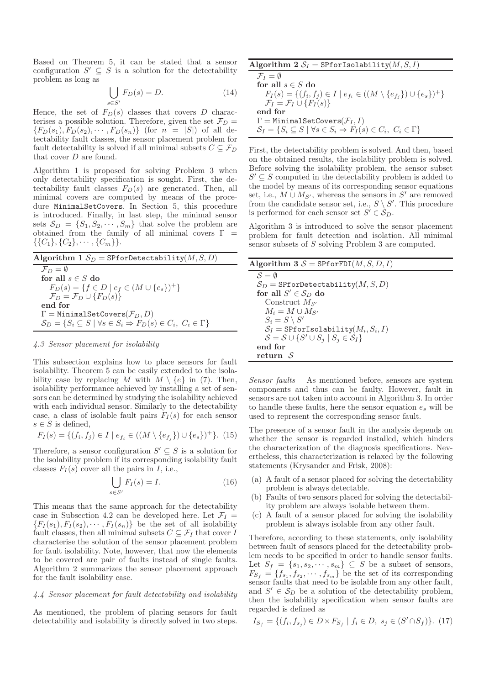Based on Theorem 5, it can be stated that a sensor configuration  $S' \subseteq S$  is a solution for the detectability problem as long as

$$
\bigcup_{s \in S'} F_D(s) = D. \tag{14}
$$

Hence, the set of  $F_D(s)$  classes that covers D characterises a possible solution. Therefore, given the set  $\mathcal{F}_D$  =  ${F_D(s_1), F_D(s_2), \cdots, F_D(s_n)}$  (for  $n = |S|$ ) of all detectability fault classes, the sensor placement problem for fault detectability is solved if all minimal subsets  $C \subseteq \mathcal{F}_D$ that cover D are found.

Algorithm 1 is proposed for solving Problem 3 when only detectability specification is sought. First, the detectability fault classes  $F_D(s)$  are generated. Then, all minimal covers are computed by means of the procedure MinimalSetCovers. In Section 5, this procedure is introduced. Finally, in last step, the minimal sensor sets  $S_D = \{S_1, S_2, \dots, S_m\}$  that solve the problem are obtained from the family of all minimal covers  $\Gamma$  =  $\{\{C_1\}, \{C_2\}, \cdots, \{C_m\}\}.$ 

| Algorithm 1 $S_D$ = SPforDetectability(M, S, D)                                                             |
|-------------------------------------------------------------------------------------------------------------|
| $\mathcal{F}_D = \emptyset$                                                                                 |
| for all $s \in S$ do                                                                                        |
| $F_D(s) = \{ f \in D \mid e_f \in (M \cup \{e_s\})^+ \}$                                                    |
| $\mathcal{F}_D = \mathcal{F}_D \cup \{F_D(s)\}\$                                                            |
| end for                                                                                                     |
| $\Gamma =$ MinimalSetCovers( $\mathcal{F}_D, D$ )                                                           |
| $\mathcal{S}_D = \{ S_i \subseteq S \mid \forall s \in S_i \Rightarrow F_D(s) \in C_i, \ C_i \in \Gamma \}$ |

#### *4.3 Sensor placement for isolability*

This subsection explains how to place sensors for fault isolability. Theorem 5 can be easily extended to the isolability case by replacing M with  $M \setminus \{e\}$  in (7). Then, isolability performance achieved by installing a set of sensors can be determined by studying the isolability achieved with each individual sensor. Similarly to the detectability case, a class of isolable fault pairs  $F_I(s)$  for each sensor  $s \in S$  is defined,

$$
F_I(s) = \{(f_i, f_j) \in I \mid e_{f_i} \in ((M \setminus \{e_{f_j}\}) \cup \{e_s\})^+\}.
$$
 (15)

Therefore, a sensor configuration  $S' \subseteq S$  is a solution for the isolability problem if its corresponding isolability fault classes  $F_I(s)$  cover all the pairs in I, i.e.,

$$
\bigcup_{s \in S'} F_I(s) = I. \tag{16}
$$

This means that the same approach for the detectability case in Subsection 4.2 can be developed here. Let  $\mathcal{F}_I$  =  $\{F_I(s_1), F_I(s_2), \cdots, F_I(s_n)\}\$ be the set of all isolability fault classes, then all minimal subsets  $C \subseteq \mathcal{F}_I$  that cover  $I$ characterise the solution of the sensor placement problem for fault isolability. Note, however, that now the elements to be covered are pair of faults instead of single faults. Algorithm 2 summarizes the sensor placement approach for the fault isolability case.

#### *4.4 Sensor placement for fault detectability and isolability*

As mentioned, the problem of placing sensors for fault detectability and isolability is directly solved in two steps.

# Algorithm  $\mathbf{2}\;\mathcal{S}_I = \texttt{SPforIsolability}(M,S,I)$  $\mathcal{F}_I = \overline{\emptyset}$ for all  $s \in S$  do

$$
F_I(s) = \{(f_i, f_j) \in I \mid e_{f_i} \in ((M \setminus \{e_{f_j}\}) \cup \{e_s\})^+\}
$$
  
\n
$$
\mathcal{F}_I = \mathcal{F}_I \cup \{F_I(s)\}
$$
  
\nend for  
\n
$$
\Gamma = \text{MinimalSetCovers}(\mathcal{F}_I, I)
$$
  
\n
$$
\mathcal{S}_I = \{S_i \subseteq S \mid \forall s \in S_i \Rightarrow F_I(s) \in C_i, C_i \in \Gamma\}
$$

First, the detectability problem is solved. And then, based on the obtained results, the isolability problem is solved. Before solving the isolability problem, the sensor subset  $S' \subseteq S$  computed in the detectability problem is added to the model by means of its corresponding sensor equations set, i.e.,  $M \cup M_{S'}$ , whereas the sensors in S' are removed from the candidate sensor set, i.e.,  $S \setminus S'$ . This procedure is performed for each sensor set  $S' \in \mathcal{S}_D$ .

Algorithm 3 is introduced to solve the sensor placement problem for fault detection and isolation. All minimal sensor subsets of S solving Problem 3 are computed.

| Algorithm 3 $S =$ SPf or FDI $(M, S, D, I)$                                 |
|-----------------------------------------------------------------------------|
| $S = \emptyset$                                                             |
| $S_D$ = SPforDetectability(M, S, D)                                         |
| for all $S' \in S_D$ do                                                     |
| Construct $M_{S'}$                                                          |
| $M_i = M \cup M_{S'}$                                                       |
| $S_i = S \setminus S'$                                                      |
| $S_I =$ SPforIsolability $(M_i, S_i, I)$                                    |
| $\mathcal{S} = \mathcal{S} \cup \{S' \cup S_i \mid S_i \in \mathcal{S}_I\}$ |
| end for                                                                     |
| return $S$                                                                  |

*Sensor faults* As mentioned before, sensors are system components and thus can be faulty. However, fault in sensors are not taken into account in Algorithm 3. In order to handle these faults, here the sensor equation  $e_s$  will be used to represent the corresponding sensor fault.

The presence of a sensor fault in the analysis depends on whether the sensor is regarded installed, which hinders the characterization of the diagnosis specifications. Nevertheless, this characterization is relaxed by the following statements (Krysander and Frisk, 2008):

- (a) A fault of a sensor placed for solving the detectability problem is always detectable.
- (b) Faults of two sensors placed for solving the detectability problem are always isolable between them.
- (c) A fault of a sensor placed for solving the isolability problem is always isolable from any other fault.

Therefore, according to these statements, only isolability between fault of sensors placed for the detectability problem needs to be specified in order to handle sensor faults. Let  $S_f = \{s_1, s_2, \cdots, s_m\} \subseteq S$  be a subset of sensors,  $F_{S_f} = \{f_{s_1}, f_{s_2}, \cdots, f_{s_m}\}\$ be the set of its corresponding sensor faults that need to be isolable from any other fault, and  $S' \in S_D$  be a solution of the detectability problem, then the isolability specification when sensor faults are regarded is defined as

$$
I_{S_f} = \{ (f_i, f_{s_j}) \in D \times F_{S_f} \mid f_i \in D, s_j \in (S' \cap S_f) \}. (17)
$$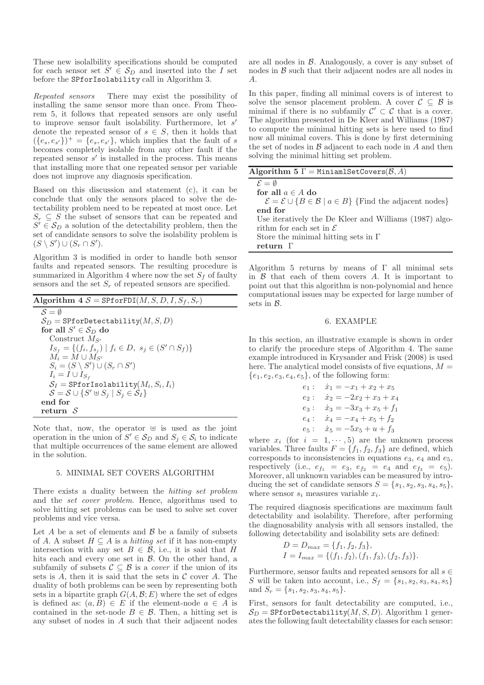These new isolalbility specifications should be computed for each sensor set  $\check{S}' \in \mathcal{S}_D$  and inserted into the I set before the SPforIsolability call in Algorithm 3.

*Repeated sensors* There may exist the possibility of installing the same sensor more than once. From Theorem 5, it follows that repeated sensors are only useful to improve sensor fault isolability. Furthermore, let s' denote the repeated sensor of  $s \in S$ , then it holds that  $({e_s, e_{s'}})^+ = {e_s, e_{s'}}$ , which implies that the fault of s becomes completely isolable from any other fault if the repeated sensor  $s'$  is installed in the process. This means that installing more that one repeated sensor per variable does not improve any diagnosis specification.

Based on this discussion and statement (c), it can be conclude that only the sensors placed to solve the detectability problem need to be repeated at most once. Let  $S_r \subseteq S$  the subset of sensors that can be repeated and  $S' \in \mathcal{S}_D$  a solution of the detectability problem, then the set of candidate sensors to solve the isolability problem is  $(S \setminus S') \cup (S_r \cap S').$ 

Algorithm 3 is modified in order to handle both sensor faults and repeated sensors. The resulting procedure is summarized in Algorithm 4 where now the set  $S_f$  of faulty sensors and the set  $S_r$  of repeated sensors are specified.

```
Algorithm 4 S = \text{SPforFDI}(M, S, D, I, S_f, S_r)\mathcal{S} = \emptyset
```
 $\mathcal{S}_D = \texttt{SPforDetectability}(M, S, D)$ for all  $S' \in \mathcal{S}_D$  do Construct ${\cal M}_{S'}$  $I_{S_f} = \{(f_i, f_{s_j}) \mid f_i \in D, s_j \in (S' \cap S_f)\}\$  $M_i = M \cup M_{S'}$  $S_i = (S \setminus S') \cup (S_r \cap S')$  $I_i = I \cup I_{S_f}$  $\mathcal{S}_I = \texttt{SPforIsolability}(M_i, S_i, I_i)$  $S = S \cup \{S' \cup S_j \mid S_j \in S_I\}$ end for return S

Note that, now, the operator ⊎ is used as the joint operation in the union of  $S' \in S_D$  and  $S_j \in S_i$  to indicate that multiple occurrences of the same element are allowed in the solution.

#### 5. MINIMAL SET COVERS ALGORITHM

There exists a duality between the *hitting set problem* and the *set cover problem*. Hence, algorithms used to solve hitting set problems can be used to solve set cover problems and vice versa.

Let  $A$  be a set of elements and  $B$  be a family of subsets of A. A subset  $H \subseteq A$  is a *hitting set* if it has non-empty intersection with any set  $B \in \mathcal{B}$ , i.e., it is said that H hits each and every one set in  $\beta$ . On the other hand, a subfamily of subsets  $C \subseteq B$  is a *cover* if the union of its sets is  $A$ , then it is said that the sets in  $C$  cover  $A$ . The duality of both problems can be seen by representing both sets in a bipartite graph  $G(A, \mathcal{B}; E)$  where the set of edges is defined as:  $(a, B) \in E$  if the element-node  $a \in A$  is contained in the set-node  $B \in \mathcal{B}$ . Then, a hitting set is any subset of nodes in A such that their adjacent nodes

are all nodes in B. Analogously, a cover is any subset of nodes in  $\beta$  such that their adjacent nodes are all nodes in A.

In this paper, finding all minimal covers is of interest to solve the sensor placement problem. A cover  $\mathcal{C} \subseteq \mathcal{B}$  is minimal if there is no subfamily  $\mathcal{C}' \subset \mathcal{C}$  that is a cover. The algorithm presented in De Kleer and Williams (1987) to compute the minimal hitting sets is here used to find now all minimal covers. This is done by first determining the set of nodes in  $\beta$  adjacent to each node in  $A$  and then solving the minimal hitting set problem.

| Algorithm 5 $\Gamma =$ MiniamlSetCovers( $\mathcal{B}, A$ )                                     |
|-------------------------------------------------------------------------------------------------|
| $\mathcal{E} = \emptyset$                                                                       |
| for all $a \in A$ do                                                                            |
| $\mathcal{E} = \mathcal{E} \cup \{ B \in \mathcal{B} \mid a \in B \}$ {Find the adjacent nodes} |
| end for                                                                                         |
| Use iteratively the De Kleer and Williams (1987) algo-                                          |
| rithm for each set in $\mathcal E$                                                              |
| Store the minimal hitting sets in $\Gamma$                                                      |
| return $\Gamma$                                                                                 |

Algorithm 5 returns by means of  $\Gamma$  all minimal sets in  $\beta$  that each of them covers  $\overline{A}$ . It is important to point out that this algorithm is non-polynomial and hence computational issues may be expected for large number of sets in  $\beta$ .

#### 6. EXAMPLE

In this section, an illustrative example is shown in order to clarify the procedure steps of Algorithm 4. The same example introduced in Krysander and Frisk (2008) is used here. The analytical model consists of five equations,  $M =$  ${e_1, e_2, e_3, e_4, e_5}$ , of the following form:

> $e_1: \quad \dot{x}_1 = -x_1 + x_2 + x_5$  $e_2: \quad \dot{x}_2 = -2x_2 + x_3 + x_4$  $e_3: \quad \dot{x}_3 = -3x_3 + x_5 + f_1$  $e_4: \quad \dot{x}_4 = -x_4 + x_5 + f_2$  $e_5: \quad \dot{x}_5 = -5x_5 + u + f_3$

where  $x_i$  (for  $i = 1, \dots, 5$ ) are the unknown process variables. Three faults  $F = \{f_1, f_2, f_3\}$  are defined, which corresponds to inconsistencies in equations  $e_3$ ,  $e_4$  and  $e_5$ , respectively (i.e.,  $e_{f_1} = e_3$ ,  $e_{f_2} = e_4$  and  $e_{f_3} = e_5$ ). Moreover, all unknown variables can be measured by introducing the set of candidate sensors  $S = \{s_1, s_2, s_3, s_4, s_5\},\$ where sensor  $s_i$  measures variable  $x_i$ .

The required diagnosis specifications are maximum fault detectability and isolability. Therefore, after performing the diagnosability analysis with all sensors installed, the following detectability and isolability sets are defined:

$$
D = D_{max} = \{f_1, f_2, f_3\},
$$
  
\n
$$
I = I_{max} = \{(f_1, f_2), (f_1, f_3), (f_2, f_3)\}.
$$

Furthermore, sensor faults and repeated sensors for all  $s \in$ S will be taken into account, i.e.,  $S_f = \{s_1, s_2, s_3, s_4, s_5\}$ and  $S_r = \{s_1, s_2, s_3, s_4, s_5\}.$ 

First, sensors for fault detectability are computed, i.e.,  $S_D$  = SPforDetectability(M, S, D). Algorithm 1 generates the following fault detectability classes for each sensor: